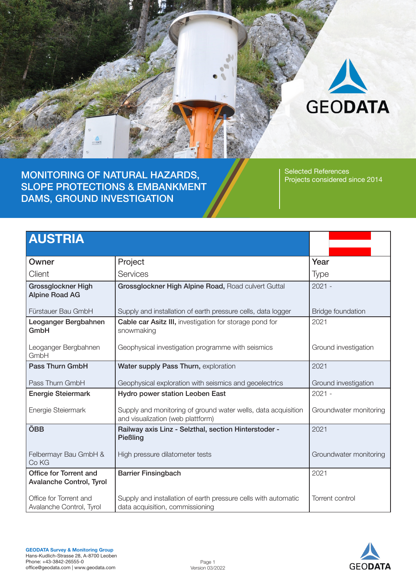

MONITORING OF NATURAL HAZARDS, SLOPE PROTECTIONS & EMBANKMENT DAMS, GROUND INVESTIGATION

Selected References Projects considered since 2014

# AUSTRIA

| Owner                                                     | Project                                                                                            | Year                     |
|-----------------------------------------------------------|----------------------------------------------------------------------------------------------------|--------------------------|
| Client                                                    | Services                                                                                           | <b>Type</b>              |
| <b>Grossglockner High</b><br><b>Alpine Road AG</b>        | Grossglockner High Alpine Road, Road culvert Guttal                                                | $2021 -$                 |
| Fürstauer Bau GmbH                                        | Supply and installation of earth pressure cells, data logger                                       | <b>Bridge foundation</b> |
| Leoganger Bergbahnen<br>GmbH                              | <b>Cable car Asitz III, investigation for storage pond for</b><br>snowmaking                       | 2021                     |
| Leoganger Bergbahnen<br>GmbH                              | Geophysical investigation programme with seismics                                                  | Ground investigation     |
| <b>Pass Thurn GmbH</b>                                    | Water supply Pass Thurn, exploration                                                               | 2021                     |
| Pass Thurn GmbH                                           | Geophysical exploration with seismics and geoelectrics                                             | Ground investigation     |
| <b>Energie Steiermark</b>                                 | <b>Hydro power station Leoben East</b>                                                             | $2021 -$                 |
| Energie Steiermark                                        | Supply and monitoring of ground water wells, data acquisition<br>and visualization (web plattform) | Groundwater monitoring   |
| ÖBB                                                       | Railway axis Linz - Selzthal, section Hinterstoder -<br>Pießling                                   | 2021                     |
| Felbermayr Bau GmbH &<br>Co KG                            | High pressure dilatometer tests                                                                    | Groundwater monitoring   |
| Office for Torrent and<br><b>Avalanche Control, Tyrol</b> | <b>Barrier Finsingbach</b>                                                                         | 2021                     |
| Office for Torrent and<br>Avalanche Control, Tyrol        | Supply and installation of earth pressure cells with automatic<br>data acquisition, commissioning  | Torrent control          |

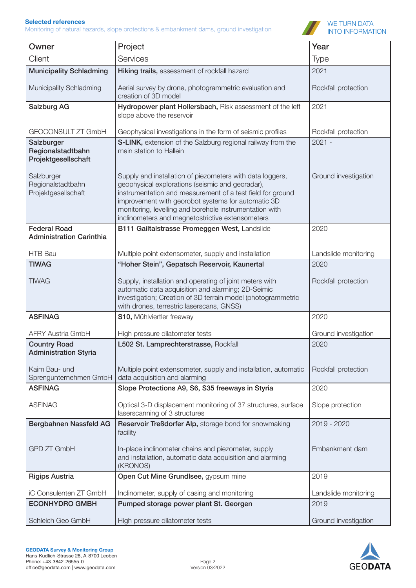Monitoring of natural hazards, slope protections & embankment dams, ground investigation



| Owner                                                                | Project                                                                                                                                                                                                                                                                             | Year                             |
|----------------------------------------------------------------------|-------------------------------------------------------------------------------------------------------------------------------------------------------------------------------------------------------------------------------------------------------------------------------------|----------------------------------|
| Client                                                               | Services                                                                                                                                                                                                                                                                            | <b>Type</b>                      |
| <b>Municipality Schladming</b>                                       | Hiking trails, assessment of rockfall hazard                                                                                                                                                                                                                                        | 2021                             |
| Municipality Schladming                                              | Aerial survey by drone, photogrammetric evaluation and<br>creation of 3D model                                                                                                                                                                                                      | Rockfall protection              |
| <b>Salzburg AG</b>                                                   | Hydropower plant Hollersbach, Risk assessment of the left<br>slope above the reservoir                                                                                                                                                                                              | 2021                             |
| GEOCONSULT ZT GmbH                                                   | Geophysical investigations in the form of seismic profiles                                                                                                                                                                                                                          | Rockfall protection              |
| Salzburger<br>Regionalstadtbahn<br>Projektgesellschaft<br>Salzburger | S-LINK, extension of the Salzburg regional railway from the<br>main station to Hallein<br>Supply and installation of piezometers with data loggers,                                                                                                                                 | $2021 -$<br>Ground investigation |
| Regionalstadtbahn<br>Projektgesellschaft                             | geophysical explorations (seismic and georadar),<br>instrumentation and measurement of a test field for ground<br>improvement with georobot systems for automatic 3D<br>monitoring, levelling and borehole instrumentation with<br>inclinometers and magnetostrictive extensometers |                                  |
| <b>Federal Road</b><br><b>Administration Carinthia</b>               | B111 Gailtalstrasse Promeggen West, Landslide                                                                                                                                                                                                                                       | 2020                             |
| HTB Bau                                                              | Multiple point extensometer, supply and installation                                                                                                                                                                                                                                | Landslide monitoring             |
| <b>TIWAG</b>                                                         | "Hoher Stein", Gepatsch Reservoir, Kaunertal                                                                                                                                                                                                                                        | 2020                             |
| <b>TIWAG</b>                                                         | Supply, installation and operating of joint meters with<br>automatic data acquisition and alarming; 2D-Seimic<br>investigation; Creation of 3D terrain model (photogrammetric<br>with drones, terrestric laserscans, GNSS)                                                          | Rockfall protection              |
| <b>ASFINAG</b>                                                       | S10, Mühlviertler freeway                                                                                                                                                                                                                                                           | 2020                             |
| <b>AFRY Austria GmbH</b>                                             | High pressure dilatometer tests                                                                                                                                                                                                                                                     | Ground investigation             |
| <b>Country Road</b>                                                  | L502 St. Lamprechterstrasse, Rockfall                                                                                                                                                                                                                                               | 2020                             |
| <b>Administration Styria</b>                                         |                                                                                                                                                                                                                                                                                     |                                  |
| Kaim Bau- und<br>Sprengunternehmen GmbH                              | Multiple point extensometer, supply and installation, automatic<br>data acquisition and alarming                                                                                                                                                                                    | Rockfall protection              |
| <b>ASFINAG</b>                                                       | Slope Protections A9, S6, S35 freeways in Styria                                                                                                                                                                                                                                    | 2020                             |
| <b>ASFINAG</b>                                                       | Optical 3-D displacement monitoring of 37 structures, surface<br>laserscanning of 3 structures                                                                                                                                                                                      | Slope protection                 |
| Bergbahnen Nassfeld AG                                               | Reservoir Treßdorfer Alp, storage bond for snowmaking<br>facility                                                                                                                                                                                                                   | 2019 - 2020                      |
| <b>GPD ZT GmbH</b>                                                   | In-place inclinometer chains and piezometer, supply<br>and installation, automatic data acquisition and alarming<br>(KRONOS)                                                                                                                                                        | Embankment dam                   |
| <b>Rigips Austria</b>                                                | Open Cut Mine Grundlsee, gypsum mine                                                                                                                                                                                                                                                | 2019                             |
| iC Consulenten ZT GmbH                                               | Inclinometer, supply of casing and monitoring                                                                                                                                                                                                                                       | Landslide monitoring             |
| <b>ECONHYDRO GMBH</b>                                                | Pumped storage power plant St. Georgen                                                                                                                                                                                                                                              | 2019                             |
| Schleich Geo GmbH                                                    | High pressure dilatometer tests                                                                                                                                                                                                                                                     | Ground investigation             |

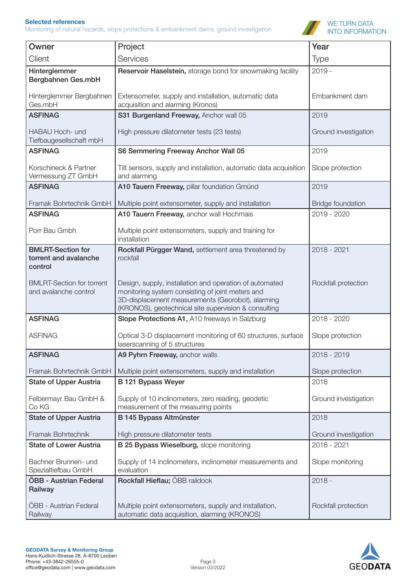Monitoring of natural hazards, slope protections & embankment dams, ground investigation



| Owner                                                        | Project                                                                                                                                                                                                                  | Year                     |
|--------------------------------------------------------------|--------------------------------------------------------------------------------------------------------------------------------------------------------------------------------------------------------------------------|--------------------------|
| Client                                                       | Services                                                                                                                                                                                                                 |                          |
|                                                              |                                                                                                                                                                                                                          | <b>Type</b>              |
| Hinterglemmer<br>Bergbahnen Ges.mbH                          | Reservoir Haselstein, storage bond for snowmaking facility                                                                                                                                                               | $2019 -$                 |
| Hinterglemmer Bergbahnen<br>Ges.mbH                          | Extensometer, supply and installation, automatic data<br>acquisition and alarming (Kronos)                                                                                                                               | Embankment dam           |
| <b>ASFINAG</b>                                               | S31 Burgenland Freeway, Anchor wall 05                                                                                                                                                                                   | 2019                     |
| HABAU Hoch- und<br>Tiefbaugesellschaft mbH                   | High pressure dilatometer tests (23 tests)                                                                                                                                                                               | Ground investigation     |
| <b>ASFINAG</b>                                               | S6 Semmering Freeway Anchor Wall 05                                                                                                                                                                                      | 2019                     |
| Korschineck & Partner<br>Vermessung ZT GmbH                  | Tilt sensors, supply and installation, automatic data acquisition<br>and alarming                                                                                                                                        | Slope protection         |
| <b>ASFINAG</b>                                               | A10 Tauern Freeway, pillar foundation Gmünd                                                                                                                                                                              | 2019                     |
| Framak Bohrtechnik GmbH                                      | Multiple point extensometer, supply and installation                                                                                                                                                                     | <b>Bridge foundation</b> |
| <b>ASFINAG</b>                                               | A10 Tauern Freeway, anchor wall Hochmais                                                                                                                                                                                 | 2019 - 2020              |
| Porr Bau Gmbh                                                | Multiple point extensometers, supply and training for<br>installation                                                                                                                                                    |                          |
| <b>BMLRT-Section for</b><br>torrent and avalanche<br>control | Rockfall Pürgger Wand, settlement area threatened by<br>rockfall                                                                                                                                                         | 2018 - 2021              |
| <b>BMLRT-Section for torrent</b><br>and avalanche control    | Design, supply, installation and operation of automated<br>monitoring system consisting of joint meters and<br>3D-displacement measurements (Georobot), alarming<br>(KRONOS), geotechnical site supervision & consulting | Rockfall protection      |
| <b>ASFINAG</b>                                               | Slope Protections A1, A10 freeways in Salzburg                                                                                                                                                                           | 2018 - 2020              |
| <b>ASFINAG</b>                                               | Optical 3-D displacement monitoring of 60 structures, surface<br>laserscanning of 5 structures                                                                                                                           | Slope protection         |
| <b>ASFINAG</b>                                               | A9 Pyhrn Freeway, anchor walls                                                                                                                                                                                           | 2018 - 2019              |
| Framak Bohrtechnik GmbH                                      | Multiple point extensometers, supply and installation                                                                                                                                                                    | Slope protection         |
| <b>State of Upper Austria</b>                                | <b>B121 Bypass Weyer</b>                                                                                                                                                                                                 | 2018                     |
| Felbermayr Bau GmbH &<br>Co KG                               | Supply of 10 inclinometers, zero reading, geodetic<br>measurement of the measuring points                                                                                                                                | Ground investigation     |
| <b>State of Upper Austria</b>                                | B 145 Bypass Altmünster                                                                                                                                                                                                  | 2018                     |
| Framak Bohrtechnik                                           | High pressure dilatometer tests                                                                                                                                                                                          | Ground investigation     |
| <b>State of Lower Austria</b>                                | B 25 Bypass Wieselburg, slope monitoring                                                                                                                                                                                 | 2018 - 2021              |
| Bachner Brunnen- und<br>Spezialtiefbau GmbH                  | Supply of 14 inclinometers, inclinometer measurements and<br>evaluation                                                                                                                                                  | Slope monitoring         |
| <b>ÖBB - Austrian Federal</b><br>Railway                     | Rockfall Hieflau; ÖBB raildock                                                                                                                                                                                           | $2018 -$                 |
| <b>ÖBB</b> - Austrian Federal<br>Railway                     | Multiple point extensometers, supply and installation,<br>automatic data acquisition, alarming (KRONOS)                                                                                                                  | Rockfall protection      |

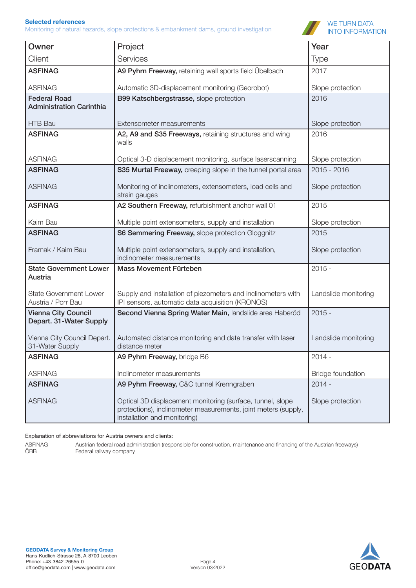Monitoring of natural hazards, slope protections & embankment dams, ground investigation



| Owner                                                  | Project                                                                                                                                                      | Year                     |
|--------------------------------------------------------|--------------------------------------------------------------------------------------------------------------------------------------------------------------|--------------------------|
| Client                                                 | Services                                                                                                                                                     | <b>Type</b>              |
| <b>ASFINAG</b>                                         | A9 Pyhrn Freeway, retaining wall sports field Übelbach                                                                                                       | 2017                     |
| <b>ASFINAG</b>                                         | Automatic 3D-displacement monitoring (Georobot)                                                                                                              | Slope protection         |
| <b>Federal Road</b><br><b>Administration Carinthia</b> | B99 Katschbergstrasse, slope protection                                                                                                                      | 2016                     |
| <b>HTB Bau</b>                                         | Extensometer measurements                                                                                                                                    | Slope protection         |
| <b>ASFINAG</b>                                         | A2, A9 and S35 Freeways, retaining structures and wing<br>walls                                                                                              | 2016                     |
| <b>ASFINAG</b>                                         | Optical 3-D displacement monitoring, surface laserscanning                                                                                                   | Slope protection         |
| <b>ASFINAG</b>                                         | S35 Murtal Freeway, creeping slope in the tunnel portal area                                                                                                 | 2015 - 2016              |
| <b>ASFINAG</b>                                         | Monitoring of inclinometers, extensometers, load cells and<br>strain gauges                                                                                  | Slope protection         |
| <b>ASFINAG</b>                                         | A2 Southern Freeway, refurbishment anchor wall 01                                                                                                            | 2015                     |
| Kaim Bau                                               | Multiple point extensometers, supply and installation                                                                                                        | Slope protection         |
| <b>ASFINAG</b>                                         | S6 Semmering Freeway, slope protection Gloggnitz                                                                                                             | 2015                     |
| Framak / Kaim Bau                                      | Multiple point extensometers, supply and installation,<br>inclinometer measurements                                                                          | Slope protection         |
| <b>State Government Lower</b><br>Austria               | Mass Movement Fürteben                                                                                                                                       | $2015 -$                 |
| <b>State Government Lower</b><br>Austria / Porr Bau    | Supply and installation of piezometers and inclinometers with<br>IPI sensors, automatic data acquisition (KRONOS)                                            | Landslide monitoring     |
| <b>Vienna City Council</b><br>Depart. 31-Water Supply  | Second Vienna Spring Water Main, landslide area Haberöd                                                                                                      | $2015 -$                 |
| Vienna City Council Depart.<br>31-Water Supply         | Automated distance monitoring and data transfer with laser<br>distance meter                                                                                 | Landslide monitoring     |
| <b>ASFINAG</b>                                         | A9 Pyhrn Freeway, bridge B6                                                                                                                                  | $2014 -$                 |
| <b>ASFINAG</b>                                         | Inclinometer measurements                                                                                                                                    | <b>Bridge foundation</b> |
| <b>ASFINAG</b>                                         | A9 Pyhrn Freeway, C&C tunnel Krenngraben                                                                                                                     | $2014 -$                 |
| <b>ASFINAG</b>                                         | Optical 3D displacement monitoring (surface, tunnel, slope<br>protections), inclinometer measurements, joint meters (supply,<br>installation and monitoring) | Slope protection         |

Explanation of abbreviations for Austria owners and clients:

ASFINAG Austrian federal road administration (responsible for construction, maintenance and financing of the Austrian freeways)<br>ÖBB Federal railway company